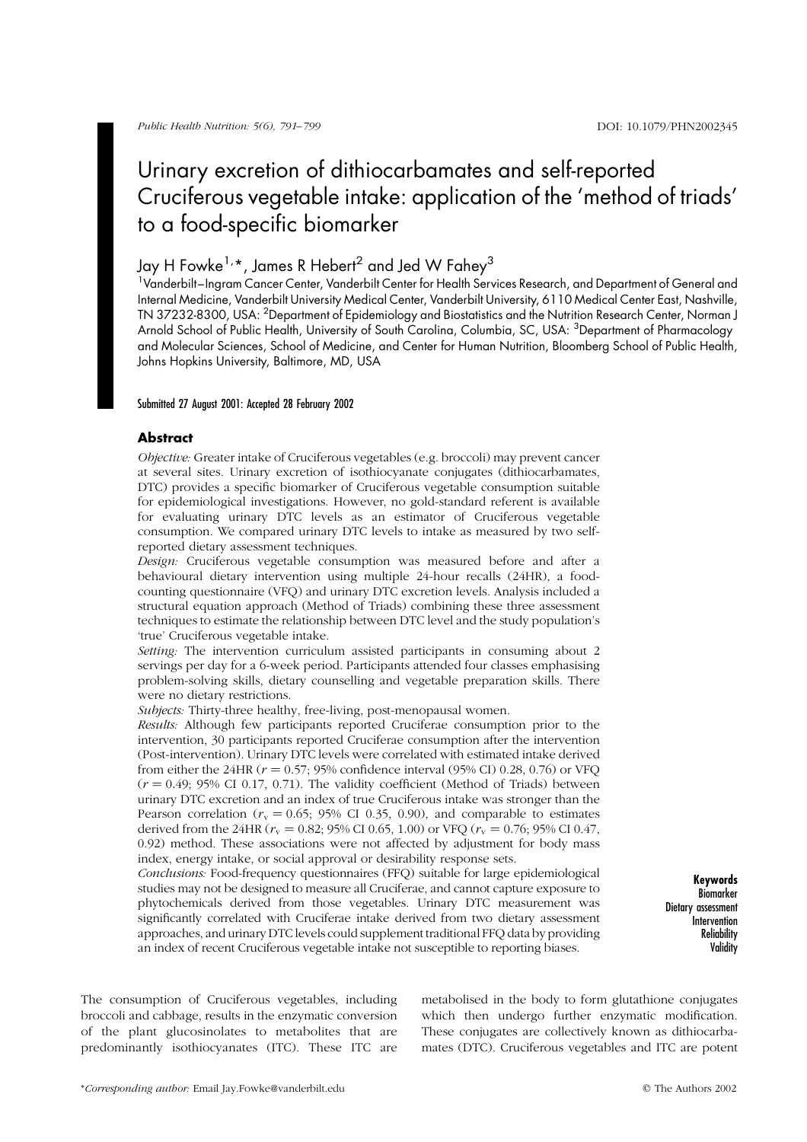# Urinary excretion of dithiocarbamates and self-reported Cruciferous vegetable intake: application of the 'method of triads' to a food-specific biomarker

# Jay H Fowke<sup>1,\*</sup>, James R Hebert<sup>2</sup> and Jed W Fahey<sup>3</sup>

<sup>1</sup>Vanderbilt–Ingram Cancer Center, Vanderbilt Center for Health Services Research, and Department of General and Internal Medicine, Vanderbilt University Medical Center, Vanderbilt University, 6110 Medical Center East, Nashville, TN 37232-8300, USA: <sup>2</sup>Department of Epidemiology and Biostatistics and the Nutrition Research Center, Norman J Arnold School of Public Health, University of South Carolina, Columbia, SC, USA: <sup>3</sup>Department of Pharmacology and Molecular Sciences, School of Medicine, and Center for Human Nutrition, Bloomberg School of Public Health, Johns Hopkins University, Baltimore, MD, USA

#### Submitted 27 August 2001: Accepted 28 February 2002

## **Abstract**

Objective: Greater intake of Cruciferous vegetables (e.g. broccoli) may prevent cancer at several sites. Urinary excretion of isothiocyanate conjugates (dithiocarbamates, DTC) provides a specific biomarker of Cruciferous vegetable consumption suitable for epidemiological investigations. However, no gold-standard referent is available for evaluating urinary DTC levels as an estimator of Cruciferous vegetable consumption. We compared urinary DTC levels to intake as measured by two selfreported dietary assessment techniques.

Design: Cruciferous vegetable consumption was measured before and after a behavioural dietary intervention using multiple 24-hour recalls (24HR), a foodcounting questionnaire (VFQ) and urinary DTC excretion levels. Analysis included a structural equation approach (Method of Triads) combining these three assessment techniques to estimate the relationship between DTC level and the study population's 'true' Cruciferous vegetable intake.

Setting: The intervention curriculum assisted participants in consuming about 2 servings per day for a 6-week period. Participants attended four classes emphasising problem-solving skills, dietary counselling and vegetable preparation skills. There were no dietary restrictions.

Subjects: Thirty-three healthy, free-living, post-menopausal women.

Results: Although few participants reported Cruciferae consumption prior to the intervention, 30 participants reported Cruciferae consumption after the intervention (Post-intervention). Urinary DTC levels were correlated with estimated intake derived from either the 24HR ( $r = 0.57$ ; 95% confidence interval (95% CI) 0.28, 0.76) or VFQ  $(r = 0.49; 95\% \text{ CI } 0.17, 0.71)$ . The validity coefficient (Method of Triads) between urinary DTC excretion and an index of true Cruciferous intake was stronger than the Pearson correlation ( $r_v = 0.65$ ; 95% CI 0.35, 0.90), and comparable to estimates derived from the 24HR ( $r_v = 0.82$ ; 95% CI 0.65, 1.00) or VFQ ( $r_v = 0.76$ ; 95% CI 0.47, 0.92) method. These associations were not affected by adjustment for body mass index, energy intake, or social approval or desirability response sets.

Conclusions: Food-frequency questionnaires (FFQ) suitable for large epidemiological studies may not be designed to measure all Cruciferae, and cannot capture exposure to phytochemicals derived from those vegetables. Urinary DTC measurement was significantly correlated with Cruciferae intake derived from two dietary assessment approaches, and urinary DTC levels could supplement traditional FFQ data by providing an index of recent Cruciferous vegetable intake not susceptible to reporting biases.

Keywords Biomarker Dietary assessment Intervention Reliability **Validity** 

The consumption of Cruciferous vegetables, including broccoli and cabbage, results in the enzymatic conversion of the plant glucosinolates to metabolites that are predominantly isothiocyanates (ITC). These ITC are

metabolised in the body to form glutathione conjugates which then undergo further enzymatic modification. These conjugates are collectively known as dithiocarbamates (DTC). Cruciferous vegetables and ITC are potent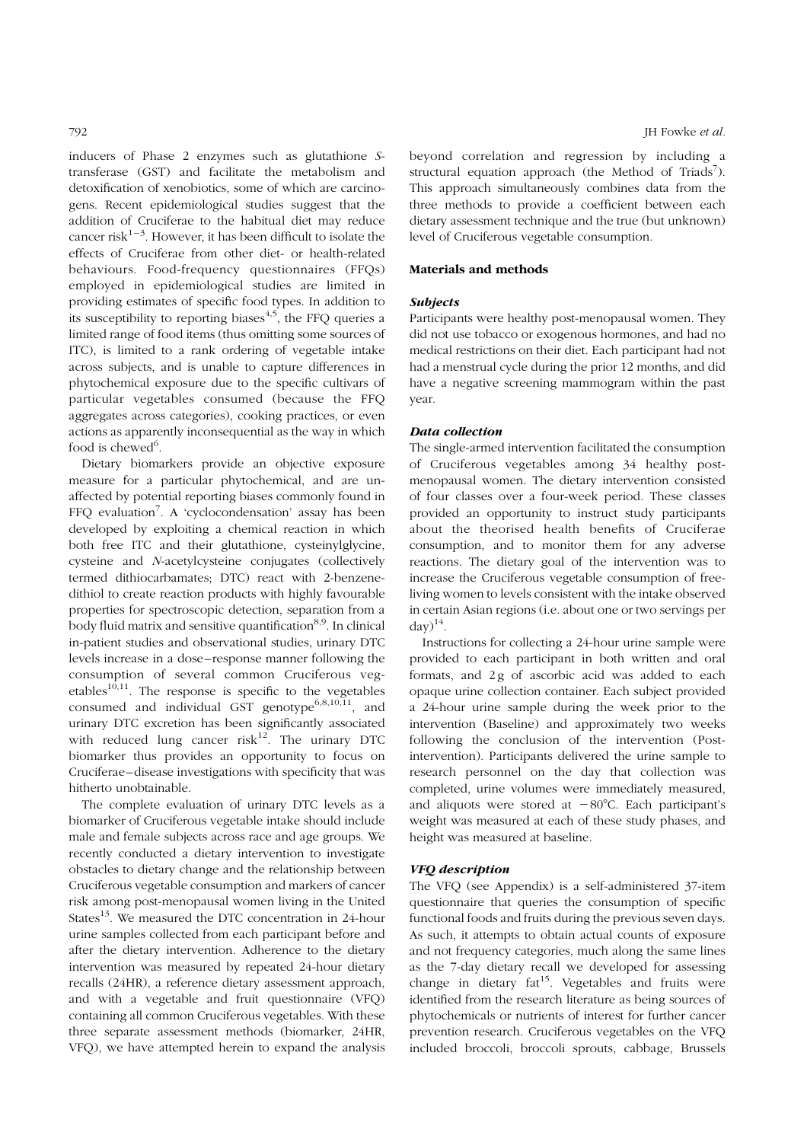inducers of Phase 2 enzymes such as glutathione Stransferase (GST) and facilitate the metabolism and detoxification of xenobiotics, some of which are carcinogens. Recent epidemiological studies suggest that the addition of Cruciferae to the habitual diet may reduce cancer risk $1-3$ . However, it has been difficult to isolate the effects of Cruciferae from other diet- or health-related behaviours. Food-frequency questionnaires (FFQs) employed in epidemiological studies are limited in providing estimates of specific food types. In addition to its susceptibility to reporting biases $4,5$ , the FFQ queries a limited range of food items (thus omitting some sources of ITC), is limited to a rank ordering of vegetable intake across subjects, and is unable to capture differences in phytochemical exposure due to the specific cultivars of particular vegetables consumed (because the FFQ aggregates across categories), cooking practices, or even actions as apparently inconsequential as the way in which food is chewed<sup>6</sup>.

Dietary biomarkers provide an objective exposure measure for a particular phytochemical, and are unaffected by potential reporting biases commonly found in FFQ evaluation<sup>7</sup>. A 'cyclocondensation' assay has been developed by exploiting a chemical reaction in which both free ITC and their glutathione, cysteinylglycine, cysteine and N-acetylcysteine conjugates (collectively termed dithiocarbamates; DTC) react with 2-benzenedithiol to create reaction products with highly favourable properties for spectroscopic detection, separation from a body fluid matrix and sensitive quantification<sup>8,9</sup>. In clinical in-patient studies and observational studies, urinary DTC levels increase in a dose–response manner following the consumption of several common Cruciferous vegetables<sup>10,11</sup>. The response is specific to the vegetables consumed and individual GST genotype<sup>6,8,10,11</sup>, and urinary DTC excretion has been significantly associated with reduced lung cancer  $risk^{12}$ . The urinary DTC biomarker thus provides an opportunity to focus on Cruciferae–disease investigations with specificity that was hitherto unobtainable.

The complete evaluation of urinary DTC levels as a biomarker of Cruciferous vegetable intake should include male and female subjects across race and age groups. We recently conducted a dietary intervention to investigate obstacles to dietary change and the relationship between Cruciferous vegetable consumption and markers of cancer risk among post-menopausal women living in the United States<sup>13</sup>. We measured the DTC concentration in 24-hour urine samples collected from each participant before and after the dietary intervention. Adherence to the dietary intervention was measured by repeated 24-hour dietary recalls (24HR), a reference dietary assessment approach, and with a vegetable and fruit questionnaire (VFQ) containing all common Cruciferous vegetables. With these three separate assessment methods (biomarker, 24HR, VFQ), we have attempted herein to expand the analysis beyond correlation and regression by including a structural equation approach (the Method of Triads<sup>7</sup>). This approach simultaneously combines data from the three methods to provide a coefficient between each dietary assessment technique and the true (but unknown) level of Cruciferous vegetable consumption.

#### Materials and methods

# Subjects

Participants were healthy post-menopausal women. They did not use tobacco or exogenous hormones, and had no medical restrictions on their diet. Each participant had not had a menstrual cycle during the prior 12 months, and did have a negative screening mammogram within the past year.

#### Data collection

The single-armed intervention facilitated the consumption of Cruciferous vegetables among 34 healthy postmenopausal women. The dietary intervention consisted of four classes over a four-week period. These classes provided an opportunity to instruct study participants about the theorised health benefits of Cruciferae consumption, and to monitor them for any adverse reactions. The dietary goal of the intervention was to increase the Cruciferous vegetable consumption of freeliving women to levels consistent with the intake observed in certain Asian regions (i.e. about one or two servings per  $\text{day})^{14}$ .

Instructions for collecting a 24-hour urine sample were provided to each participant in both written and oral formats, and 2g of ascorbic acid was added to each opaque urine collection container. Each subject provided a 24-hour urine sample during the week prior to the intervention (Baseline) and approximately two weeks following the conclusion of the intervention (Postintervention). Participants delivered the urine sample to research personnel on the day that collection was completed, urine volumes were immediately measured, and aliquots were stored at  $-80^{\circ}$ C. Each participant's weight was measured at each of these study phases, and height was measured at baseline.

### VFQ description

The VFQ (see Appendix) is a self-administered 37-item questionnaire that queries the consumption of specific functional foods and fruits during the previous seven days. As such, it attempts to obtain actual counts of exposure and not frequency categories, much along the same lines as the 7-day dietary recall we developed for assessing change in dietary fat<sup>15</sup>. Vegetables and fruits were identified from the research literature as being sources of phytochemicals or nutrients of interest for further cancer prevention research. Cruciferous vegetables on the VFQ included broccoli, broccoli sprouts, cabbage, Brussels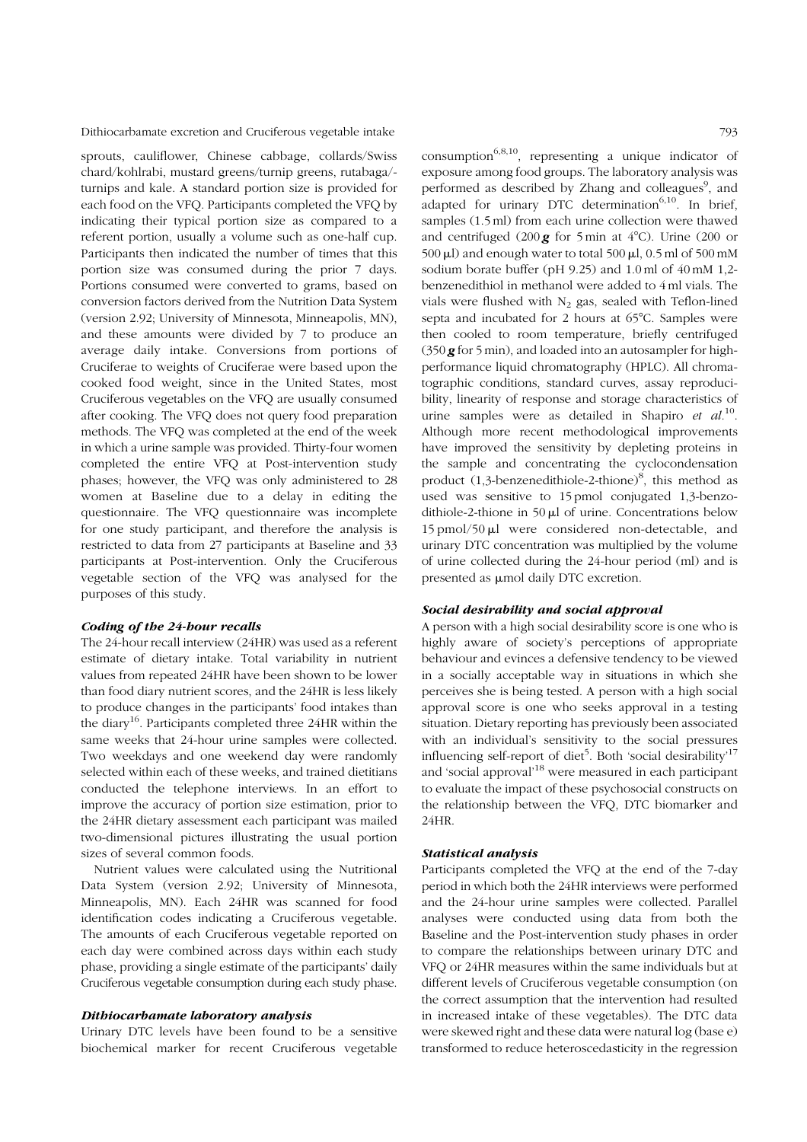sprouts, cauliflower, Chinese cabbage, collards/Swiss chard/kohlrabi, mustard greens/turnip greens, rutabaga/ turnips and kale. A standard portion size is provided for each food on the VFQ. Participants completed the VFQ by indicating their typical portion size as compared to a referent portion, usually a volume such as one-half cup. Participants then indicated the number of times that this portion size was consumed during the prior 7 days. Portions consumed were converted to grams, based on conversion factors derived from the Nutrition Data System (version 2.92; University of Minnesota, Minneapolis, MN), and these amounts were divided by 7 to produce an average daily intake. Conversions from portions of Cruciferae to weights of Cruciferae were based upon the cooked food weight, since in the United States, most Cruciferous vegetables on the VFQ are usually consumed after cooking. The VFQ does not query food preparation methods. The VFQ was completed at the end of the week in which a urine sample was provided. Thirty-four women completed the entire VFQ at Post-intervention study phases; however, the VFQ was only administered to 28 women at Baseline due to a delay in editing the questionnaire. The VFQ questionnaire was incomplete for one study participant, and therefore the analysis is restricted to data from 27 participants at Baseline and 33 participants at Post-intervention. Only the Cruciferous vegetable section of the VFQ was analysed for the purposes of this study.

#### Coding of the 24-hour recalls

The 24-hour recall interview (24HR) was used as a referent estimate of dietary intake. Total variability in nutrient values from repeated 24HR have been shown to be lower than food diary nutrient scores, and the 24HR is less likely to produce changes in the participants' food intakes than the diary<sup>16</sup>. Participants completed three 24HR within the same weeks that 24-hour urine samples were collected. Two weekdays and one weekend day were randomly selected within each of these weeks, and trained dietitians conducted the telephone interviews. In an effort to improve the accuracy of portion size estimation, prior to the 24HR dietary assessment each participant was mailed two-dimensional pictures illustrating the usual portion sizes of several common foods.

Nutrient values were calculated using the Nutritional Data System (version 2.92; University of Minnesota, Minneapolis, MN). Each 24HR was scanned for food identification codes indicating a Cruciferous vegetable. The amounts of each Cruciferous vegetable reported on each day were combined across days within each study phase, providing a single estimate of the participants' daily Cruciferous vegetable consumption during each study phase.

# Dithiocarbamate laboratory analysis

Urinary DTC levels have been found to be a sensitive biochemical marker for recent Cruciferous vegetable

consumption<sup>6,8,10</sup>, representing a unique indicator of exposure among food groups. The laboratory analysis was performed as described by Zhang and colleagues<sup>9</sup>, and adapted for urinary DTC determination<sup>6,10</sup>. In brief, samples (1.5 ml) from each urine collection were thawed and centrifuged (200  $g$  for 5 min at 4°C). Urine (200 or 500  $\mu$ l) and enough water to total 500  $\mu$ l, 0.5 ml of 500 mM sodium borate buffer (pH 9.25) and 1.0 ml of 40 mM 1,2 benzenedithiol in methanol were added to 4 ml vials. The vials were flushed with  $N_2$  gas, sealed with Teflon-lined septa and incubated for 2 hours at  $65^{\circ}$ C. Samples were then cooled to room temperature, briefly centrifuged  $(350 \text{ g}$  for 5 min), and loaded into an autosampler for highperformance liquid chromatography (HPLC). All chromatographic conditions, standard curves, assay reproducibility, linearity of response and storage characteristics of urine samples were as detailed in Shapiro *et al.*<sup>10</sup>. Although more recent methodological improvements have improved the sensitivity by depleting proteins in the sample and concentrating the cyclocondensation product  $(1,3$ -benzenedithiole-2-thione)<sup>8</sup>, this method as used was sensitive to 15 pmol conjugated 1,3-benzodithiole-2-thione in 50  $\mu$ l of urine. Concentrations below 15 pmol/50 ml were considered non-detectable, and urinary DTC concentration was multiplied by the volume of urine collected during the 24-hour period (ml) and is presented as  $\mu$ mol daily DTC excretion.

# Social desirability and social approval

A person with a high social desirability score is one who is highly aware of society's perceptions of appropriate behaviour and evinces a defensive tendency to be viewed in a socially acceptable way in situations in which she perceives she is being tested. A person with a high social approval score is one who seeks approval in a testing situation. Dietary reporting has previously been associated with an individual's sensitivity to the social pressures influencing self-report of diet<sup>5</sup>. Both 'social desirability'<sup>17</sup> and 'social approval'<sup>18</sup> were measured in each participant to evaluate the impact of these psychosocial constructs on the relationship between the VFQ, DTC biomarker and 24HR.

#### Statistical analysis

Participants completed the VFQ at the end of the 7-day period in which both the 24HR interviews were performed and the 24-hour urine samples were collected. Parallel analyses were conducted using data from both the Baseline and the Post-intervention study phases in order to compare the relationships between urinary DTC and VFQ or 24HR measures within the same individuals but at different levels of Cruciferous vegetable consumption (on the correct assumption that the intervention had resulted in increased intake of these vegetables). The DTC data were skewed right and these data were natural log (base e) transformed to reduce heteroscedasticity in the regression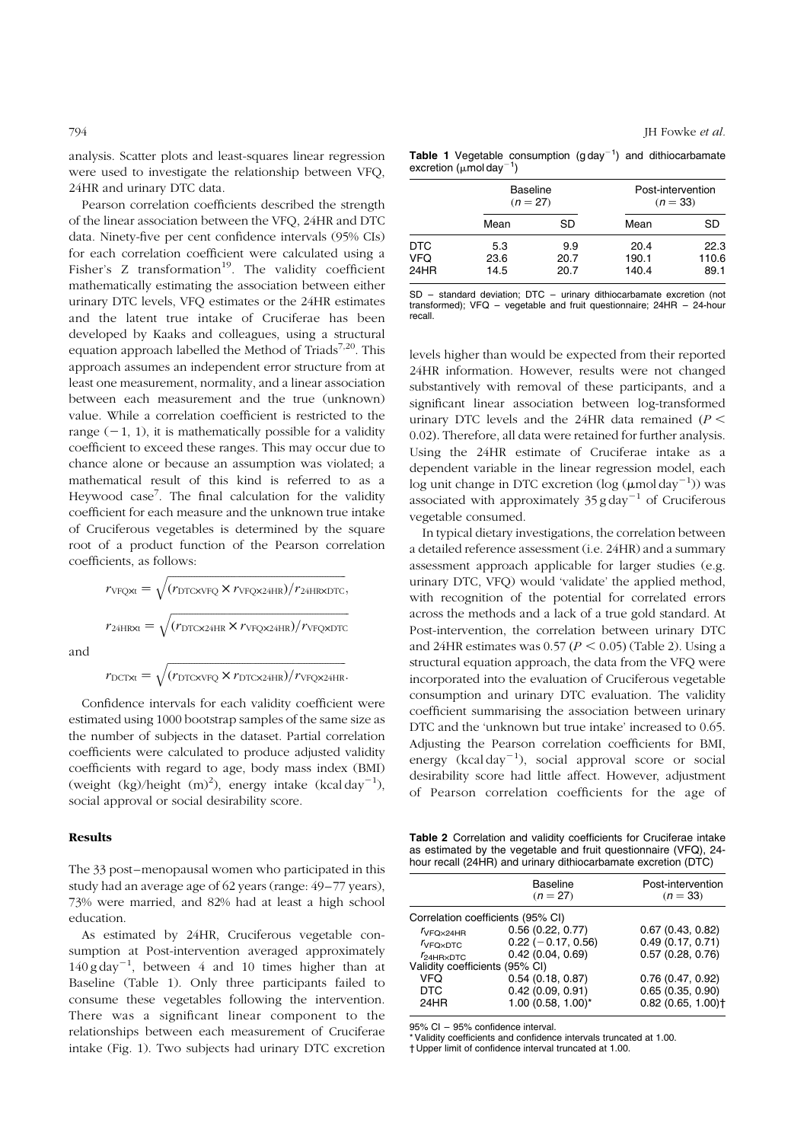<span id="page-3-0"></span>analysis. Scatter plots and least-squares linear regression were used to investigate the relationship between VFQ, 24HR and urinary DTC data.

Pearson correlation coefficients described the strength of the linear association between the VFQ, 24HR and DTC data. Ninety-five per cent confidence intervals (95% CIs) for each correlation coefficient were calculated using a Fisher's  $Z$  transformation<sup>19</sup>. The validity coefficient mathematically estimating the association between either urinary DTC levels, VFQ estimates or the 24HR estimates and the latent true intake of Cruciferae has been developed by Kaaks and colleagues, using a structural equation approach labelled the Method of Triads<sup>7,20</sup>. This approach assumes an independent error structure from at least one measurement, normality, and a linear association between each measurement and the true (unknown) value. While a correlation coefficient is restricted to the range  $(-1, 1)$ , it is mathematically possible for a validity coefficient to exceed these ranges. This may occur due to chance alone or because an assumption was violated; a mathematical result of this kind is referred to as a Heywood case<sup>7</sup>. The final calculation for the validity coefficient for each measure and the unknown true intake of Cruciferous vegetables is determined by the square root of a product function of the Pearson correlation coefficients, as follows:

> $r_{VFQXt} =$  $\sqrt{(r_{\text{DTCXVFQ}} \times r_{\text{VFQX24HR}})/r_{\text{24HRXDTC}}},$  $r_{24H Rxt} =$  $\sqrt{(r_{\text{DTCX24HR}} \times r_{\text{VPQX24HR}})/r_{\text{VPQXDTC}} }$

and

$$
r_{\text{DCTxt}} = \sqrt{(r_{\text{DTCXVFQ}} \times r_{\text{DTCX24HR}})/r_{\text{VPQX24HR}}}.
$$

Confidence intervals for each validity coefficient were estimated using 1000 bootstrap samples of the same size as the number of subjects in the dataset. Partial correlation coefficients were calculated to produce adjusted validity coefficients with regard to age, body mass index (BMI) (weight (kg)/height  $(m)^2$ ), energy intake (kcal day<sup>-1</sup>), social approval or social desirability score.

#### Results

The 33 post–menopausal women who participated in this study had an average age of 62 years (range: 49–77 years), 73% were married, and 82% had at least a high school education.

As estimated by 24HR, Cruciferous vegetable consumption at Post-intervention averaged approximately  $140$  g day<sup>-1</sup>, between 4 and 10 times higher than at Baseline (Table 1). Only three participants failed to consume these vegetables following the intervention. There was a significant linear component to the relationships between each measurement of Cruciferae intake [\(Fig. 1\).](#page-4-0) Two subjects had urinary DTC excretion

**Table 1** Vegetable consumption (g  $day^{-1}$ ) and dithiocarbamate excretion ( $\mu$ mol day $^{-1}$ )

|                    | <b>Baseline</b><br>$(n = 27)$ |                     | Post-intervention<br>$(n = 33)$ |                       |  |  |
|--------------------|-------------------------------|---------------------|---------------------------------|-----------------------|--|--|
|                    | Mean                          | SD                  | Mean                            | SD                    |  |  |
| DTC<br>VFQ<br>24HR | 5.3<br>23.6<br>14.5           | 9.9<br>20.7<br>20.7 | 20.4<br>190.1<br>140.4          | 22.3<br>110.6<br>89.1 |  |  |

SD – standard deviation; DTC – urinary dithiocarbamate excretion (not transformed); VFQ – vegetable and fruit questionnaire; 24HR – 24-hour recall.

levels higher than would be expected from their reported 24HR information. However, results were not changed substantively with removal of these participants, and a significant linear association between log-transformed urinary DTC levels and the 24HR data remained  $(P <$ 0.02). Therefore, all data were retained for further analysis. Using the 24HR estimate of Cruciferae intake as a dependent variable in the linear regression model, each  $\log$  unit change in DTC excretion ( $\log (\mu \text{mol day}^{-1})$ ) was associated with approximately  $35 \text{ g day}^{-1}$  of Cruciferous vegetable consumed.

In typical dietary investigations, the correlation between a detailed reference assessment (i.e. 24HR) and a summary assessment approach applicable for larger studies (e.g. urinary DTC, VFQ) would 'validate' the applied method, with recognition of the potential for correlated errors across the methods and a lack of a true gold standard. At Post-intervention, the correlation between urinary DTC and 24HR estimates was  $0.57 (P \le 0.05)$  (Table 2). Using a structural equation approach, the data from the VFQ were incorporated into the evaluation of Cruciferous vegetable consumption and urinary DTC evaluation. The validity coefficient summarising the association between urinary DTC and the 'unknown but true intake' increased to 0.65. Adjusting the Pearson correlation coefficients for BMI, energy  $(kcal day^{-1})$ , social approval score or social desirability score had little affect. However, adjustment of Pearson correlation coefficients for the age of

Table 2 Correlation and validity coefficients for Cruciferae intake as estimated by the vegetable and fruit questionnaire (VFQ), 24 hour recall (24HR) and urinary dithiocarbamate excretion (DTC)

|                                   | <b>Baseline</b><br>$(n = 27)$ | Post-intervention<br>$(n = 33)$  |
|-----------------------------------|-------------------------------|----------------------------------|
| Correlation coefficients (95% CI) |                               |                                  |
| $r_{V}FQ\times24HR$               | 0.56(0.22, 0.77)              | 0.67(0.43, 0.82)                 |
| <b>VFOXDTC</b>                    | $0.22$ (-0.17, 0.56)          | 0.49(0.17, 0.71)                 |
| $r_{24}$ HR $\times$ DTC          | 0.42(0.04, 0.69)              | 0.57(0.28, 0.76)                 |
| Validity coefficients (95% CI)    |                               |                                  |
| VFQ                               | 0.54(0.18, 0.87)              | 0.76(0.47, 0.92)                 |
| <b>DTC</b>                        | 0.42(0.09, 0.91)              | 0.65(0.35, 0.90)                 |
| 24HR                              | $1.00$ (0.58, $1.00$ )*       | $0.82$ (0.65, 1.00) <sup>+</sup> |
|                                   |                               |                                  |

95% CI – 95% confidence interval.

\* Validity coefficients and confidence intervals truncated at 1.00.

† Upper limit of confidence interval truncated at 1.00.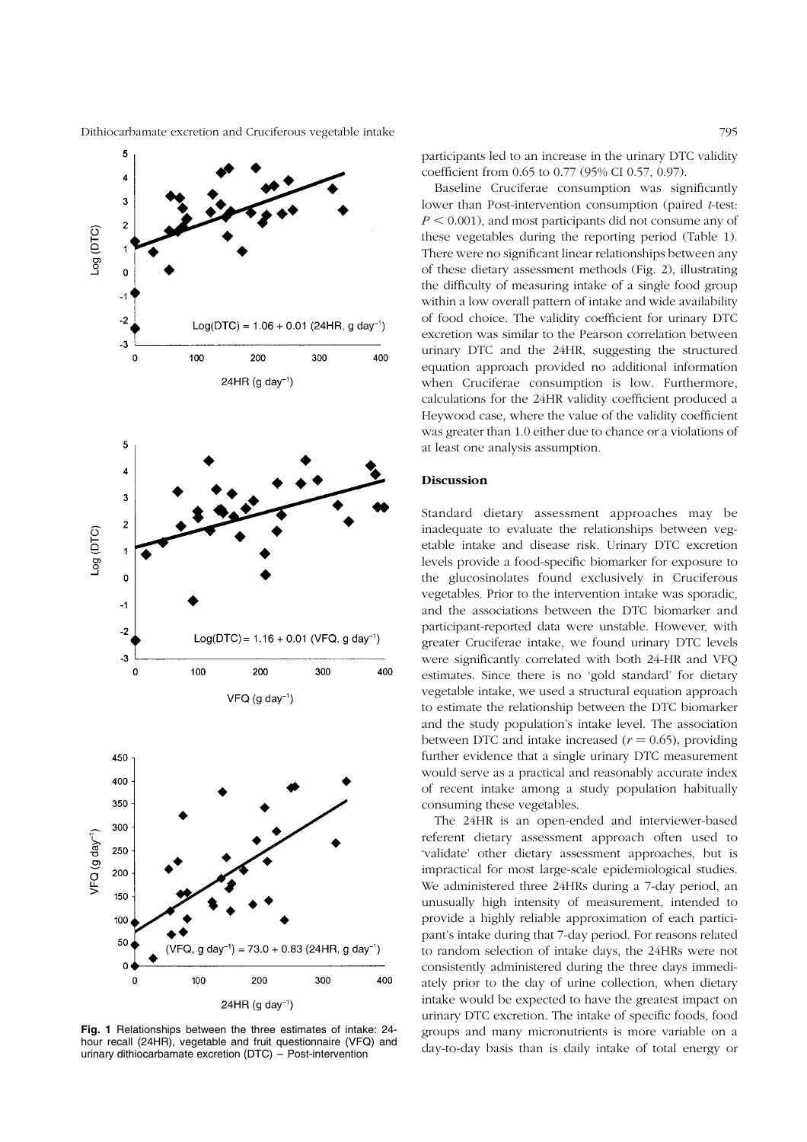<span id="page-4-0"></span>

Fig. 1 Relationships between the three estimates of intake: 24 hour recall (24HR), vegetable and fruit questionnaire (VFQ) and urinary dithiocarbamate excretion (DTC) – Post-intervention

participants led to an increase in the urinary DTC validity coefficient from 0.65 to 0.77 (95% CI 0.57, 0.97).

Baseline Cruciferae consumption was significantly lower than Post-intervention consumption (paired *t*-test:  $P \leq 0.001$ , and most participants did not consume any of these vegetables during the reporting period [\(Table 1\).](#page-3-0) There were no significant linear relationships between any of these dietary assessment methods [\(Fig. 2\),](#page-5-0) illustrating the difficulty of measuring intake of a single food group within a low overall pattern of intake and wide availability of food choice. The validity coefficient for urinary DTC excretion was similar to the Pearson correlation between urinary DTC and the 24HR, suggesting the structured equation approach provided no additional information when Cruciferae consumption is low. Furthermore, calculations for the 24HR validity coefficient produced a Heywood case, where the value of the validity coefficient was greater than 1.0 either due to chance or a violations of at least one analysis assumption.

## Discussion

Standard dietary assessment approaches may be inadequate to evaluate the relationships between vegetable intake and disease risk. Urinary DTC excretion levels provide a food-specific biomarker for exposure to the glucosinolates found exclusively in Cruciferous vegetables. Prior to the intervention intake was sporadic, and the associations between the DTC biomarker and participant-reported data were unstable. However, with greater Cruciferae intake, we found urinary DTC levels were significantly correlated with both 24-HR and VFQ estimates. Since there is no 'gold standard' for dietary vegetable intake, we used a structural equation approach to estimate the relationship between the DTC biomarker and the study population's intake level. The association between DTC and intake increased ( $r = 0.65$ ), providing further evidence that a single urinary DTC measurement would serve as a practical and reasonably accurate index of recent intake among a study population habitually consuming these vegetables.

The 24HR is an open-ended and interviewer-based referent dietary assessment approach often used to 'validate' other dietary assessment approaches, but is impractical for most large-scale epidemiological studies. We administered three 24HRs during a 7-day period, an unusually high intensity of measurement, intended to provide a highly reliable approximation of each participant's intake during that 7-day period. For reasons related to random selection of intake days, the 24HRs were not consistently administered during the three days immediately prior to the day of urine collection, when dietary intake would be expected to have the greatest impact on urinary DTC excretion. The intake of specific foods, food groups and many micronutrients is more variable on a day-to-day basis than is daily intake of total energy or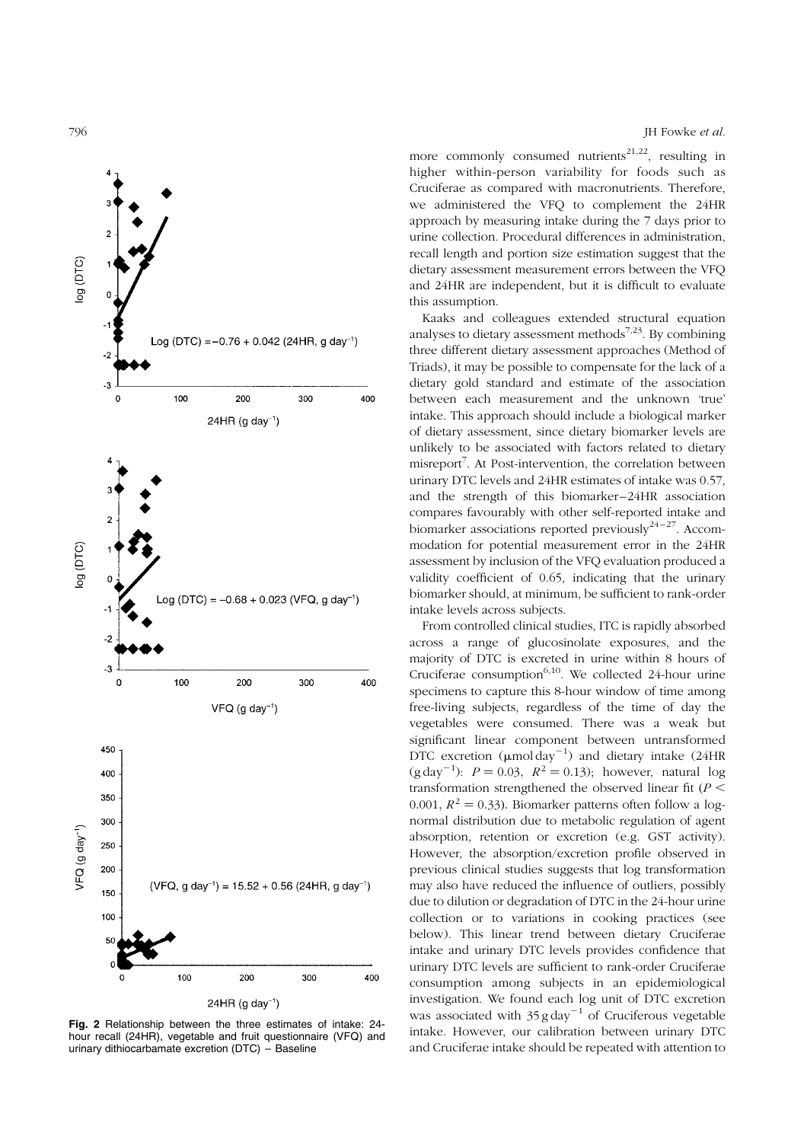<span id="page-5-0"></span>



Fig. 2 Relationship between the three estimates of intake: 24 hour recall (24HR), vegetable and fruit questionnaire (VFQ) and urinary dithiocarbamate excretion (DTC) – Baseline

796 JH Fowke et al.

more commonly consumed nutrients<sup>21,22</sup>, resulting in higher within-person variability for foods such as Cruciferae as compared with macronutrients. Therefore, we administered the VFQ to complement the 24HR approach by measuring intake during the 7 days prior to urine collection. Procedural differences in administration, recall length and portion size estimation suggest that the dietary assessment measurement errors between the VFQ and 24HR are independent, but it is difficult to evaluate this assumption.

Kaaks and colleagues extended structural equation analyses to dietary assessment methods<sup>7,23</sup>. By combining three different dietary assessment approaches (Method of Triads), it may be possible to compensate for the lack of a dietary gold standard and estimate of the association between each measurement and the unknown 'true' intake. This approach should include a biological marker of dietary assessment, since dietary biomarker levels are unlikely to be associated with factors related to dietary misreport<sup>7</sup>. At Post-intervention, the correlation between urinary DTC levels and 24HR estimates of intake was 0.57, and the strength of this biomarker–24HR association compares favourably with other self-reported intake and biomarker associations reported previously $24-27$ . Accommodation for potential measurement error in the 24HR assessment by inclusion of the VFQ evaluation produced a validity coefficient of 0.65, indicating that the urinary biomarker should, at minimum, be sufficient to rank-order intake levels across subjects.

From controlled clinical studies, ITC is rapidly absorbed across a range of glucosinolate exposures, and the majority of DTC is excreted in urine within 8 hours of Cruciferae consumption $6,10$ . We collected 24-hour urine specimens to capture this 8-hour window of time among free-living subjects, regardless of the time of day the vegetables were consumed. There was a weak but significant linear component between untransformed DTC excretion  $(\mu \text{mol day}^{-1})$  and dietary intake (24HR (g day<sup>-1</sup>):  $P = 0.03$ ,  $R^2 = 0.13$ ); however, natural log transformation strengthened the observed linear fit  $(P \leq$ 0.001,  $R^2 = 0.33$ ). Biomarker patterns often follow a lognormal distribution due to metabolic regulation of agent absorption, retention or excretion (e.g. GST activity). However, the absorption/excretion profile observed in previous clinical studies suggests that log transformation may also have reduced the influence of outliers, possibly due to dilution or degradation of DTC in the 24-hour urine collection or to variations in cooking practices (see below). This linear trend between dietary Cruciferae intake and urinary DTC levels provides confidence that urinary DTC levels are sufficient to rank-order Cruciferae consumption among subjects in an epidemiological investigation. We found each log unit of DTC excretion was associated with  $35 g day^{-1}$  of Cruciferous vegetable intake. However, our calibration between urinary DTC and Cruciferae intake should be repeated with attention to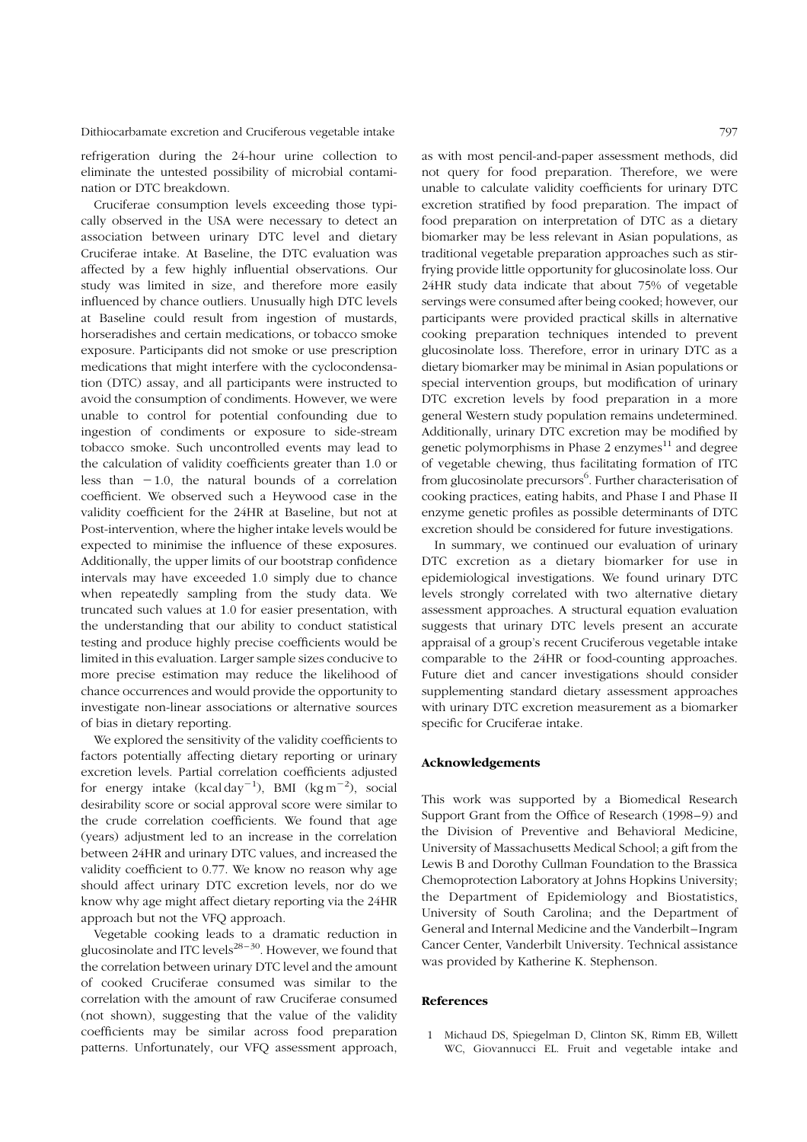refrigeration during the 24-hour urine collection to eliminate the untested possibility of microbial contamination or DTC breakdown.

Cruciferae consumption levels exceeding those typically observed in the USA were necessary to detect an association between urinary DTC level and dietary Cruciferae intake. At Baseline, the DTC evaluation was affected by a few highly influential observations. Our study was limited in size, and therefore more easily influenced by chance outliers. Unusually high DTC levels at Baseline could result from ingestion of mustards, horseradishes and certain medications, or tobacco smoke exposure. Participants did not smoke or use prescription medications that might interfere with the cyclocondensation (DTC) assay, and all participants were instructed to avoid the consumption of condiments. However, we were unable to control for potential confounding due to ingestion of condiments or exposure to side-stream tobacco smoke. Such uncontrolled events may lead to the calculation of validity coefficients greater than 1.0 or less than  $-1.0$ , the natural bounds of a correlation coefficient. We observed such a Heywood case in the validity coefficient for the 24HR at Baseline, but not at Post-intervention, where the higher intake levels would be expected to minimise the influence of these exposures. Additionally, the upper limits of our bootstrap confidence intervals may have exceeded 1.0 simply due to chance when repeatedly sampling from the study data. We truncated such values at 1.0 for easier presentation, with the understanding that our ability to conduct statistical testing and produce highly precise coefficients would be limited in this evaluation. Larger sample sizes conducive to more precise estimation may reduce the likelihood of chance occurrences and would provide the opportunity to investigate non-linear associations or alternative sources of bias in dietary reporting.

We explored the sensitivity of the validity coefficients to factors potentially affecting dietary reporting or urinary excretion levels. Partial correlation coefficients adjusted for energy intake  $(kcal day^{-1})$ , BMI  $(kgm^{-2})$ , social desirability score or social approval score were similar to the crude correlation coefficients. We found that age (years) adjustment led to an increase in the correlation between 24HR and urinary DTC values, and increased the validity coefficient to 0.77. We know no reason why age should affect urinary DTC excretion levels, nor do we know why age might affect dietary reporting via the 24HR approach but not the VFQ approach.

Vegetable cooking leads to a dramatic reduction in glucosinolate and ITC levels<sup>28–30</sup>. However, we found that the correlation between urinary DTC level and the amount of cooked Cruciferae consumed was similar to the correlation with the amount of raw Cruciferae consumed (not shown), suggesting that the value of the validity coefficients may be similar across food preparation patterns. Unfortunately, our VFQ assessment approach,

as with most pencil-and-paper assessment methods, did not query for food preparation. Therefore, we were unable to calculate validity coefficients for urinary DTC excretion stratified by food preparation. The impact of food preparation on interpretation of DTC as a dietary biomarker may be less relevant in Asian populations, as traditional vegetable preparation approaches such as stirfrying provide little opportunity for glucosinolate loss. Our 24HR study data indicate that about 75% of vegetable servings were consumed after being cooked; however, our participants were provided practical skills in alternative cooking preparation techniques intended to prevent glucosinolate loss. Therefore, error in urinary DTC as a dietary biomarker may be minimal in Asian populations or special intervention groups, but modification of urinary DTC excretion levels by food preparation in a more general Western study population remains undetermined. Additionally, urinary DTC excretion may be modified by genetic polymorphisms in Phase  $2$  enzymes $^{11}$  and degree of vegetable chewing, thus facilitating formation of ITC from glucosinolate precursors $^6$ . Further characterisation of cooking practices, eating habits, and Phase I and Phase II enzyme genetic profiles as possible determinants of DTC excretion should be considered for future investigations.

In summary, we continued our evaluation of urinary DTC excretion as a dietary biomarker for use in epidemiological investigations. We found urinary DTC levels strongly correlated with two alternative dietary assessment approaches. A structural equation evaluation suggests that urinary DTC levels present an accurate appraisal of a group's recent Cruciferous vegetable intake comparable to the 24HR or food-counting approaches. Future diet and cancer investigations should consider supplementing standard dietary assessment approaches with urinary DTC excretion measurement as a biomarker specific for Cruciferae intake.

#### Acknowledgements

This work was supported by a Biomedical Research Support Grant from the Office of Research (1998–9) and the Division of Preventive and Behavioral Medicine, University of Massachusetts Medical School; a gift from the Lewis B and Dorothy Cullman Foundation to the Brassica Chemoprotection Laboratory at Johns Hopkins University; the Department of Epidemiology and Biostatistics, University of South Carolina; and the Department of General and Internal Medicine and the Vanderbilt–Ingram Cancer Center, Vanderbilt University. Technical assistance was provided by Katherine K. Stephenson.

# References

1 Michaud DS, Spiegelman D, Clinton SK, Rimm EB, Willett WC, Giovannucci EL. Fruit and vegetable intake and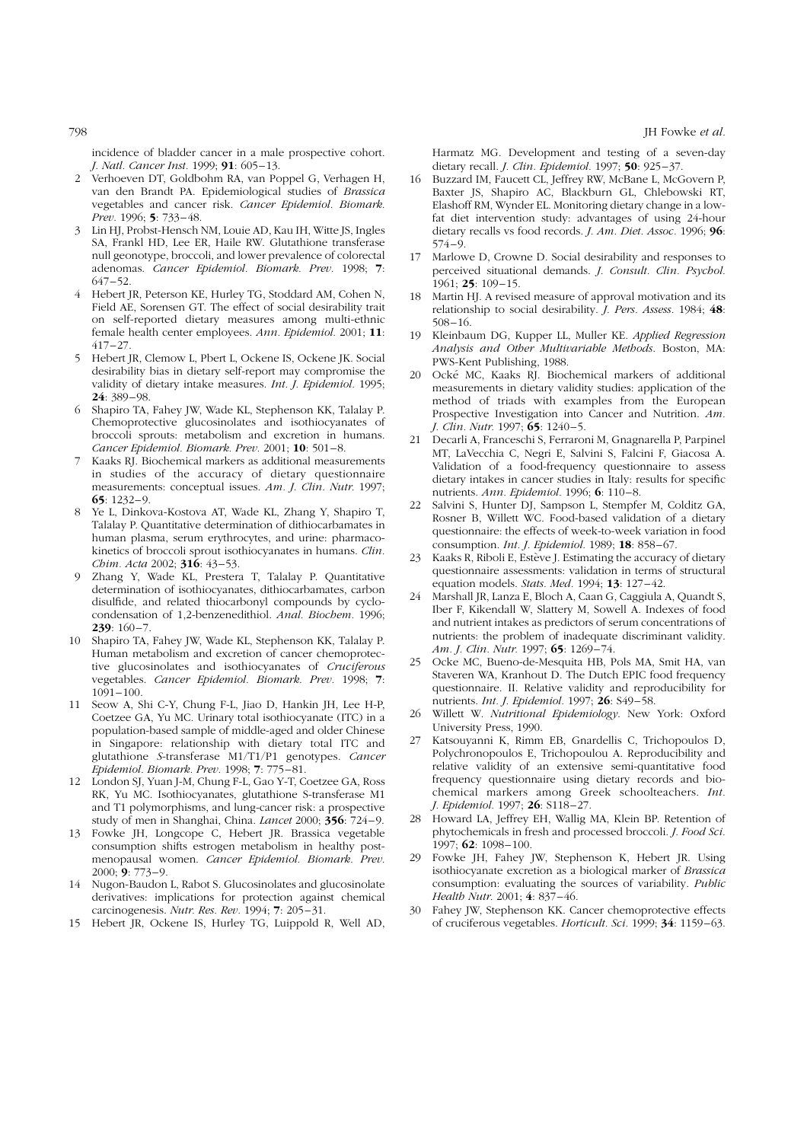incidence of bladder cancer in a male prospective cohort. J. Natl. Cancer Inst. 1999; **91**: 605–13.

- 2 Verhoeven DT, Goldbohm RA, van Poppel G, Verhagen H, van den Brandt PA. Epidemiological studies of Brassica vegetables and cancer risk. Cancer Epidemiol. Biomark. Prev. 1996; 5: 733–48.
- 3 Lin HJ, Probst-Hensch NM, Louie AD, Kau IH, Witte JS, Ingles SA, Frankl HD, Lee ER, Haile RW. Glutathione transferase null geonotype, broccoli, and lower prevalence of colorectal adenomas. Cancer Epidemiol. Biomark. Prev. 1998; 7: 647–52.
- 4 Hebert JR, Peterson KE, Hurley TG, Stoddard AM, Cohen N, Field AE, Sorensen GT. The effect of social desirability trait on self-reported dietary measures among multi-ethnic female health center employees. Ann. Epidemiol. 2001; 11: 417–27.
- 5 Hebert JR, Clemow L, Pbert L, Ockene IS, Ockene JK. Social desirability bias in dietary self-report may compromise the validity of dietary intake measures. Int. J. Epidemiol. 1995; 24: 389–98.
- 6 Shapiro TA, Fahey JW, Wade KL, Stephenson KK, Talalay P. Chemoprotective glucosinolates and isothiocyanates of broccoli sprouts: metabolism and excretion in humans. Cancer Epidemiol. Biomark. Prev. 2001; 10: 501–8.
- 7 Kaaks RJ. Biochemical markers as additional measurements in studies of the accuracy of dietary questionnaire measurements: conceptual issues. Am. J. Clin. Nutr. 1997;  $65: 1232 - 9.$
- Ye L, Dinkova-Kostova AT, Wade KL, Zhang Y, Shapiro T, Talalay P. Quantitative determination of dithiocarbamates in human plasma, serum erythrocytes, and urine: pharmacokinetics of broccoli sprout isothiocyanates in humans. Clin. Chim. Acta 2002; 316: 43–53.
- 9 Zhang Y, Wade KL, Prestera T, Talalay P. Quantitative determination of isothiocyanates, dithiocarbamates, carbon disulfide, and related thiocarbonyl compounds by cyclocondensation of 1,2-benzenedithiol. Anal. Biochem. 1996;  $239:160 - 7.$
- 10 Shapiro TA, Fahey JW, Wade KL, Stephenson KK, Talalay P. Human metabolism and excretion of cancer chemoprotective glucosinolates and isothiocyanates of Cruciferous vegetables. Cancer Epidemiol. Biomark. Prev. 1998; 7: 1091–100.
- 11 Seow A, Shi C-Y, Chung F-L, Jiao D, Hankin JH, Lee H-P, Coetzee GA, Yu MC. Urinary total isothiocyanate (ITC) in a population-based sample of middle-aged and older Chinese in Singapore: relationship with dietary total ITC and glutathione S-transferase M1/T1/P1 genotypes. Cancer Epidemiol. Biomark. Prev. 1998; 7: 775–81.
- 12 London SJ, Yuan J-M, Chung F-L, Gao Y-T, Coetzee GA, Ross RK, Yu MC. Isothiocyanates, glutathione S-transferase M1 and T1 polymorphisms, and lung-cancer risk: a prospective study of men in Shanghai, China. Lancet 2000; 356: 724–9.
- 13 Fowke JH, Longcope C, Hebert JR. Brassica vegetable consumption shifts estrogen metabolism in healthy postmenopausal women. Cancer Epidemiol. Biomark. Prev. 2000; 9: 773–9.
- 14 Nugon-Baudon L, Rabot S. Glucosinolates and glucosinolate derivatives: implications for protection against chemical carcinogenesis. Nutr. Res. Rev. 1994; 7: 205–31.
- 15 Hebert JR, Ockene IS, Hurley TG, Luippold R, Well AD,

Harmatz MG. Development and testing of a seven-day dietary recall. *J. Clin. Epidemiol.* 1997; **50**: 925-37.

- Buzzard IM, Faucett CL, Jeffrey RW, McBane L, McGovern P, Baxter JS, Shapiro AC, Blackburn GL, Chlebowski RT, Elashoff RM, Wynder EL. Monitoring dietary change in a lowfat diet intervention study: advantages of using 24-hour dietary recalls vs food records. J. Am. Diet. Assoc. 1996; 96: 574–9.
- 17 Marlowe D, Crowne D. Social desirability and responses to perceived situational demands. J. Consult. Clin. Psychol. 1961; 25: 109–15.
- 18 Martin HJ. A revised measure of approval motivation and its relationship to social desirability. J. Pers. Assess. 1984; 48: 508–16.
- 19 Kleinbaum DG, Kupper LL, Muller KE. Applied Regression Analysis and Other Multivariable Methods. Boston, MA: PWS-Kent Publishing, 1988.
- 20 Ocke´ MC, Kaaks RJ. Biochemical markers of additional measurements in dietary validity studies: application of the method of triads with examples from the European Prospective Investigation into Cancer and Nutrition. Am. J. Clin. Nutr. 1997; 65: 1240–5.
- 21 Decarli A, Franceschi S, Ferraroni M, Gnagnarella P, Parpinel MT, LaVecchia C, Negri E, Salvini S, Falcini F, Giacosa A. Validation of a food-frequency questionnaire to assess dietary intakes in cancer studies in Italy: results for specific nutrients. Ann. Epidemiol. 1996; 6: 110–8.
- 22 Salvini S, Hunter DJ, Sampson L, Stempfer M, Colditz GA, Rosner B, Willett WC. Food-based validation of a dietary questionnaire: the effects of week-to-week variation in food consumption. Int. J. Epidemiol. 1989; 18: 858–67.
- 23 Kaaks R, Riboli E, Estève J. Estimating the accuracy of dietary questionnaire assessments: validation in terms of structural equation models. Stats. Med. 1994; 13: 127-42.
- 24 Marshall JR, Lanza E, Bloch A, Caan G, Caggiula A, Quandt S, Iber F, Kikendall W, Slattery M, Sowell A. Indexes of food and nutrient intakes as predictors of serum concentrations of nutrients: the problem of inadequate discriminant validity. Am. J. Clin. Nutr. 1997; 65: 1269–74.
- 25 Ocke MC, Bueno-de-Mesquita HB, Pols MA, Smit HA, van Staveren WA, Kranhout D. The Dutch EPIC food frequency questionnaire. II. Relative validity and reproducibility for nutrients. Int. J. Epidemiol. 1997; 26: S49–58.
- 26 Willett W. Nutritional Epidemiology. New York: Oxford University Press, 1990.
- 27 Katsouyanni K, Rimm EB, Gnardellis C, Trichopoulos D, Polychronopoulos E, Trichopoulou A. Reproducibility and relative validity of an extensive semi-quantitative food frequency questionnaire using dietary records and biochemical markers among Greek schoolteachers. Int. J. Epidemiol. 1997; 26: S118-27.
- 28 Howard LA, Jeffrey EH, Wallig MA, Klein BP. Retention of phytochemicals in fresh and processed broccoli. J. Food Sci. 1997; 62: 1098–100.
- 29 Fowke JH, Fahey JW, Stephenson K, Hebert JR. Using isothiocyanate excretion as a biological marker of Brassica consumption: evaluating the sources of variability. Public Health Nutr. 2001; 4: 837–46.
- Fahey JW, Stephenson KK. Cancer chemoprotective effects of cruciferous vegetables. Horticult. Sci. 1999; 34: 1159–63.